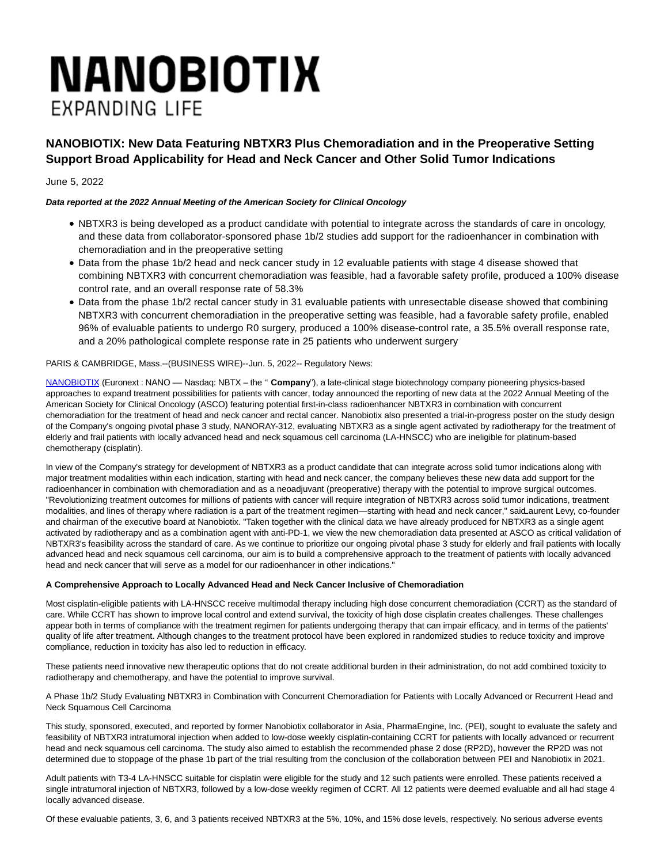# **NANOBIOTIX EXPANDING LIFE**

# **NANOBIOTIX: New Data Featuring NBTXR3 Plus Chemoradiation and in the Preoperative Setting Support Broad Applicability for Head and Neck Cancer and Other Solid Tumor Indications**

June 5, 2022

## **Data reported at the 2022 Annual Meeting of the American Society for Clinical Oncology**

- NBTXR3 is being developed as a product candidate with potential to integrate across the standards of care in oncology, and these data from collaborator-sponsored phase 1b/2 studies add support for the radioenhancer in combination with chemoradiation and in the preoperative setting
- Data from the phase 1b/2 head and neck cancer study in 12 evaluable patients with stage 4 disease showed that combining NBTXR3 with concurrent chemoradiation was feasible, had a favorable safety profile, produced a 100% disease control rate, and an overall response rate of 58.3%
- Data from the phase 1b/2 rectal cancer study in 31 evaluable patients with unresectable disease showed that combining NBTXR3 with concurrent chemoradiation in the preoperative setting was feasible, had a favorable safety profile, enabled 96% of evaluable patients to undergo R0 surgery, produced a 100% disease-control rate, a 35.5% overall response rate, and a 20% pathological complete response rate in 25 patients who underwent surgery

### PARIS & CAMBRIDGE, Mass.--(BUSINESS WIRE)--Jun. 5, 2022-- Regulatory News:

[NANOBIOTIX \(](https://cts.businesswire.com/ct/CT?id=smartlink&url=https%3A%2F%2Fwww.nanobiotix.com%2Ffr%2F&esheet=52739538&newsitemid=20220605005062&lan=en-US&anchor=NANOBIOTIX&index=1&md5=02bbb037ca65a3ef7959ef6f33f81dbf)Euronext : NANO –– Nasdaq: NBTX – the '' **Company**''), a late-clinical stage biotechnology company pioneering physics-based approaches to expand treatment possibilities for patients with cancer, today announced the reporting of new data at the 2022 Annual Meeting of the American Society for Clinical Oncology (ASCO) featuring potential first-in-class radioenhancer NBTXR3 in combination with concurrent chemoradiation for the treatment of head and neck cancer and rectal cancer. Nanobiotix also presented a trial-in-progress poster on the study design of the Company's ongoing pivotal phase 3 study, NANORAY-312, evaluating NBTXR3 as a single agent activated by radiotherapy for the treatment of elderly and frail patients with locally advanced head and neck squamous cell carcinoma (LA-HNSCC) who are ineligible for platinum-based chemotherapy (cisplatin).

In view of the Company's strategy for development of NBTXR3 as a product candidate that can integrate across solid tumor indications along with major treatment modalities within each indication, starting with head and neck cancer, the company believes these new data add support for the radioenhancer in combination with chemoradiation and as a neoadjuvant (preoperative) therapy with the potential to improve surgical outcomes. "Revolutionizing treatment outcomes for millions of patients with cancer will require integration of NBTXR3 across solid tumor indications, treatment modalities, and lines of therapy where radiation is a part of the treatment regimen—starting with head and neck cancer," said Laurent Levy, co-founder and chairman of the executive board at Nanobiotix. "Taken together with the clinical data we have already produced for NBTXR3 as a single agent activated by radiotherapy and as a combination agent with anti-PD-1, we view the new chemoradiation data presented at ASCO as critical validation of NBTXR3's feasibility across the standard of care. As we continue to prioritize our ongoing pivotal phase 3 study for elderly and frail patients with locally advanced head and neck squamous cell carcinoma, our aim is to build a comprehensive approach to the treatment of patients with locally advanced head and neck cancer that will serve as a model for our radioenhancer in other indications."

#### **A Comprehensive Approach to Locally Advanced Head and Neck Cancer Inclusive of Chemoradiation**

Most cisplatin-eligible patients with LA-HNSCC receive multimodal therapy including high dose concurrent chemoradiation (CCRT) as the standard of care. While CCRT has shown to improve local control and extend survival, the toxicity of high dose cisplatin creates challenges. These challenges appear both in terms of compliance with the treatment regimen for patients undergoing therapy that can impair efficacy, and in terms of the patients' quality of life after treatment. Although changes to the treatment protocol have been explored in randomized studies to reduce toxicity and improve compliance, reduction in toxicity has also led to reduction in efficacy.

These patients need innovative new therapeutic options that do not create additional burden in their administration, do not add combined toxicity to radiotherapy and chemotherapy, and have the potential to improve survival.

A Phase 1b/2 Study Evaluating NBTXR3 in Combination with Concurrent Chemoradiation for Patients with Locally Advanced or Recurrent Head and Neck Squamous Cell Carcinoma

This study, sponsored, executed, and reported by former Nanobiotix collaborator in Asia, PharmaEngine, Inc. (PEI), sought to evaluate the safety and feasibility of NBTXR3 intratumoral injection when added to low-dose weekly cisplatin-containing CCRT for patients with locally advanced or recurrent head and neck squamous cell carcinoma. The study also aimed to establish the recommended phase 2 dose (RP2D), however the RP2D was not determined due to stoppage of the phase 1b part of the trial resulting from the conclusion of the collaboration between PEI and Nanobiotix in 2021.

Adult patients with T3-4 LA-HNSCC suitable for cisplatin were eligible for the study and 12 such patients were enrolled. These patients received a single intratumoral injection of NBTXR3, followed by a low-dose weekly regimen of CCRT. All 12 patients were deemed evaluable and all had stage 4 locally advanced disease.

Of these evaluable patients, 3, 6, and 3 patients received NBTXR3 at the 5%, 10%, and 15% dose levels, respectively. No serious adverse events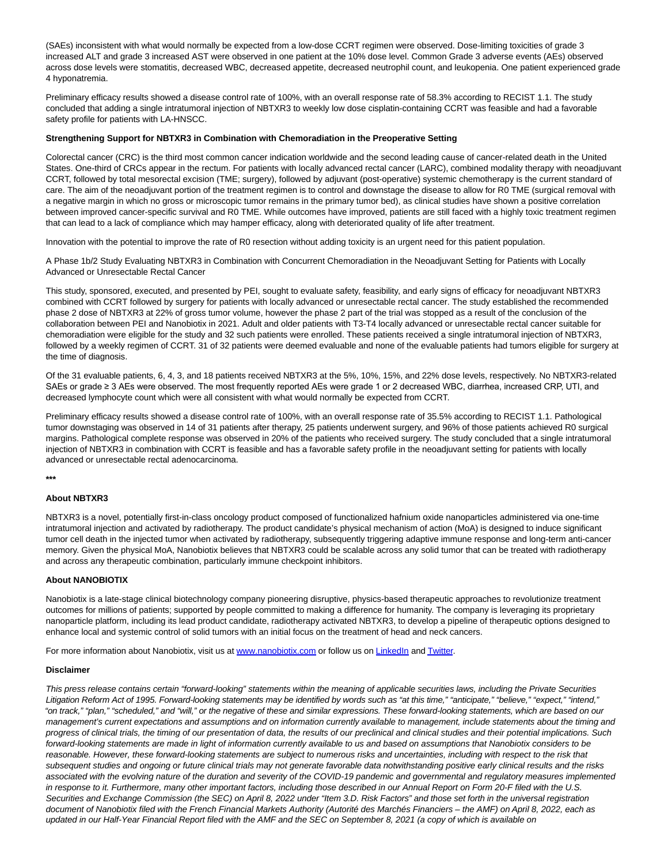(SAEs) inconsistent with what would normally be expected from a low-dose CCRT regimen were observed. Dose-limiting toxicities of grade 3 increased ALT and grade 3 increased AST were observed in one patient at the 10% dose level. Common Grade 3 adverse events (AEs) observed across dose levels were stomatitis, decreased WBC, decreased appetite, decreased neutrophil count, and leukopenia. One patient experienced grade 4 hyponatremia.

Preliminary efficacy results showed a disease control rate of 100%, with an overall response rate of 58.3% according to RECIST 1.1. The study concluded that adding a single intratumoral injection of NBTXR3 to weekly low dose cisplatin-containing CCRT was feasible and had a favorable safety profile for patients with LA-HNSCC.

#### **Strengthening Support for NBTXR3 in Combination with Chemoradiation in the Preoperative Setting**

Colorectal cancer (CRC) is the third most common cancer indication worldwide and the second leading cause of cancer-related death in the United States. One-third of CRCs appear in the rectum. For patients with locally advanced rectal cancer (LARC), combined modality therapy with neoadjuvant CCRT, followed by total mesorectal excision (TME; surgery), followed by adjuvant (post-operative) systemic chemotherapy is the current standard of care. The aim of the neoadjuvant portion of the treatment regimen is to control and downstage the disease to allow for R0 TME (surgical removal with a negative margin in which no gross or microscopic tumor remains in the primary tumor bed), as clinical studies have shown a positive correlation between improved cancer-specific survival and R0 TME. While outcomes have improved, patients are still faced with a highly toxic treatment regimen that can lead to a lack of compliance which may hamper efficacy, along with deteriorated quality of life after treatment.

Innovation with the potential to improve the rate of R0 resection without adding toxicity is an urgent need for this patient population.

A Phase 1b/2 Study Evaluating NBTXR3 in Combination with Concurrent Chemoradiation in the Neoadjuvant Setting for Patients with Locally Advanced or Unresectable Rectal Cancer

This study, sponsored, executed, and presented by PEI, sought to evaluate safety, feasibility, and early signs of efficacy for neoadjuvant NBTXR3 combined with CCRT followed by surgery for patients with locally advanced or unresectable rectal cancer. The study established the recommended phase 2 dose of NBTXR3 at 22% of gross tumor volume, however the phase 2 part of the trial was stopped as a result of the conclusion of the collaboration between PEI and Nanobiotix in 2021. Adult and older patients with T3-T4 locally advanced or unresectable rectal cancer suitable for chemoradiation were eligible for the study and 32 such patients were enrolled. These patients received a single intratumoral injection of NBTXR3, followed by a weekly regimen of CCRT. 31 of 32 patients were deemed evaluable and none of the evaluable patients had tumors eligible for surgery at the time of diagnosis.

Of the 31 evaluable patients, 6, 4, 3, and 18 patients received NBTXR3 at the 5%, 10%, 15%, and 22% dose levels, respectively. No NBTXR3-related SAEs or grade ≥ 3 AEs were observed. The most frequently reported AEs were grade 1 or 2 decreased WBC, diarrhea, increased CRP, UTI, and decreased lymphocyte count which were all consistent with what would normally be expected from CCRT.

Preliminary efficacy results showed a disease control rate of 100%, with an overall response rate of 35.5% according to RECIST 1.1. Pathological tumor downstaging was observed in 14 of 31 patients after therapy, 25 patients underwent surgery, and 96% of those patients achieved R0 surgical margins. Pathological complete response was observed in 20% of the patients who received surgery. The study concluded that a single intratumoral injection of NBTXR3 in combination with CCRT is feasible and has a favorable safety profile in the neoadjuvant setting for patients with locally advanced or unresectable rectal adenocarcinoma.

**\*\*\***

#### **About NBTXR3**

NBTXR3 is a novel, potentially first-in-class oncology product composed of functionalized hafnium oxide nanoparticles administered via one-time intratumoral injection and activated by radiotherapy. The product candidate's physical mechanism of action (MoA) is designed to induce significant tumor cell death in the injected tumor when activated by radiotherapy, subsequently triggering adaptive immune response and long-term anti-cancer memory. Given the physical MoA, Nanobiotix believes that NBTXR3 could be scalable across any solid tumor that can be treated with radiotherapy and across any therapeutic combination, particularly immune checkpoint inhibitors.

#### **About NANOBIOTIX**

Nanobiotix is a late-stage clinical biotechnology company pioneering disruptive, physics-based therapeutic approaches to revolutionize treatment outcomes for millions of patients; supported by people committed to making a difference for humanity. The company is leveraging its proprietary nanoparticle platform, including its lead product candidate, radiotherapy activated NBTXR3, to develop a pipeline of therapeutic options designed to enhance local and systemic control of solid tumors with an initial focus on the treatment of head and neck cancers.

For more information about Nanobiotix, visit us at [www.nanobiotix.com o](https://cts.businesswire.com/ct/CT?id=smartlink&url=http%3A%2F%2Fwww.nanobiotix.com&esheet=52739538&newsitemid=20220605005062&lan=en-US&anchor=www.nanobiotix.com&index=2&md5=6cdd37ca188875f3c2c90bd62a9e0711)r follow us on [LinkedIn a](https://cts.businesswire.com/ct/CT?id=smartlink&url=http%3A%2F%2Fwww.linkedin.com%2Fcompany%2Fnanobiotix&esheet=52739538&newsitemid=20220605005062&lan=en-US&anchor=LinkedIn&index=3&md5=f1211168d5667fc4a9ad77ecccda5ee6)n[d Twitter.](https://cts.businesswire.com/ct/CT?id=smartlink&url=http%3A%2F%2Fwww.twitter.com%2Fnanobiotix&esheet=52739538&newsitemid=20220605005062&lan=en-US&anchor=Twitter&index=4&md5=fbc3fb61ed7c92065b50434433473218)

#### **Disclaimer**

This press release contains certain "forward-looking" statements within the meaning of applicable securities laws, including the Private Securities Litigation Reform Act of 1995. Forward-looking statements may be identified by words such as "at this time," "anticipate," "believe," "expect," "intend," "on track," "plan," "scheduled," and "will," or the negative of these and similar expressions. These forward-looking statements, which are based on our management's current expectations and assumptions and on information currently available to management, include statements about the timing and progress of clinical trials, the timing of our presentation of data, the results of our preclinical and clinical studies and their potential implications. Such forward-looking statements are made in light of information currently available to us and based on assumptions that Nanobiotix considers to be reasonable. However, these forward-looking statements are subject to numerous risks and uncertainties, including with respect to the risk that subsequent studies and ongoing or future clinical trials may not generate favorable data notwithstanding positive early clinical results and the risks associated with the evolving nature of the duration and severity of the COVID-19 pandemic and governmental and regulatory measures implemented in response to it. Furthermore, many other important factors, including those described in our Annual Report on Form 20-F filed with the U.S. Securities and Exchange Commission (the SEC) on April 8, 2022 under "Item 3.D. Risk Factors" and those set forth in the universal registration document of Nanobiotix filed with the French Financial Markets Authority (Autorité des Marchés Financiers – the AMF) on April 8, 2022, each as updated in our Half-Year Financial Report filed with the AMF and the SEC on September 8, 2021 (a copy of which is available on